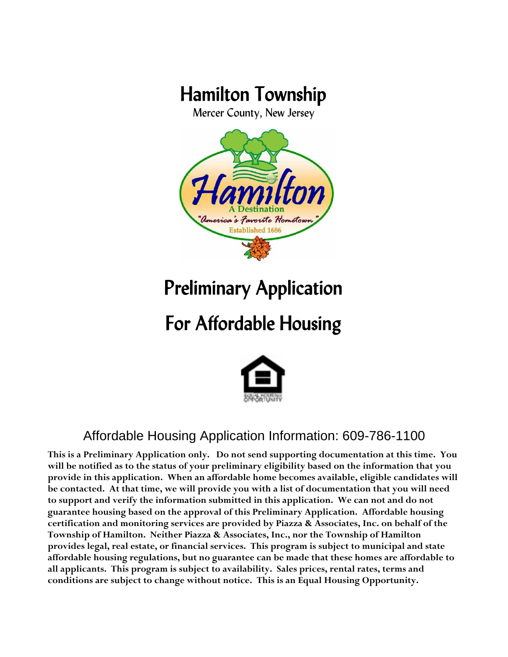# Hamilton Township

Mercer County, New Jersey



# Preliminary Application

# For Affordable Housing



## Affordable Housing Application Information: 609-786-1100

**This is a Preliminary Application only. Do not send supporting documentation at this time. You will be notified as to the status of your preliminary eligibility based on the information that you provide in this application. When an affordable home becomes available, eligible candidates will be contacted. At that time, we will provide you with a list of documentation that you will need to support and verify the information submitted in this application. We can not and do not guarantee housing based on the approval of this Preliminary Application. Affordable housing certification and monitoring services are provided by Piazza & Associates, Inc. on behalf of the Township of Hamilton. Neither Piazza & Associates, Inc., nor the Township of Hamilton provides legal, real estate, or financial services. This program is subject to municipal and state affordable housing regulations, but no guarantee can be made that these homes are affordable to all applicants. This program is subject to availability. Sales prices, rental rates, terms and conditions are subject to change without notice. This is an Equal Housing Opportunity.**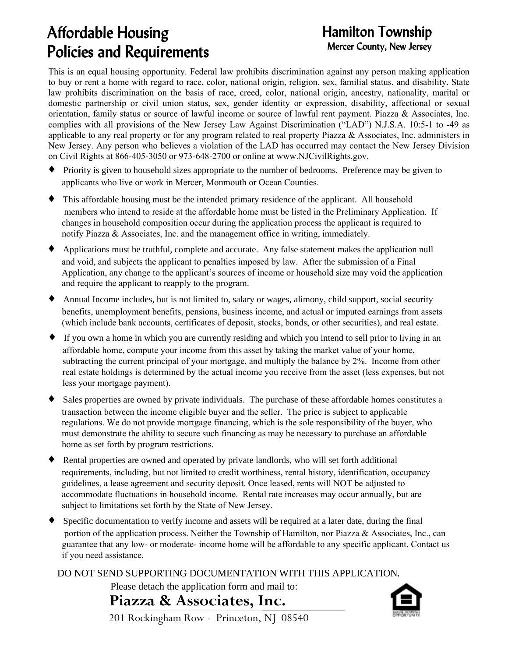## Affordable Housing Policies and Requirements

## Hamilton Township Mercer County, New Jersey

This is an equal housing opportunity. Federal law prohibits discrimination against any person making application to buy or rent a home with regard to race, color, national origin, religion, sex, familial status, and disability. State law prohibits discrimination on the basis of race, creed, color, national origin, ancestry, nationality, marital or domestic partnership or civil union status, sex, gender identity or expression, disability, affectional or sexual orientation, family status or source of lawful income or source of lawful rent payment. Piazza & Associates, Inc. complies with all provisions of the New Jersey Law Against Discrimination ("LAD") N.J.S.A. 10:5-1 to -49 as applicable to any real property or for any program related to real property Piazza & Associates, Inc. administers in New Jersey. Any person who believes a violation of the LAD has occurred may contact the New Jersey Division on Civil Rights at 866-405-3050 or 973-648-2700 or online at www.NJCivilRights.gov.

- { Priority is given to household sizes appropriate to the number of bedrooms. Preference may be given to applicants who live or work in Mercer, Monmouth or Ocean Counties.
- $\bullet$  This affordable housing must be the intended primary residence of the applicant. All household members who intend to reside at the affordable home must be listed in the Preliminary Application. If changes in household composition occur during the application process the applicant is required to notify Piazza & Associates, Inc. and the management office in writing, immediately.
- { Applications must be truthful, complete and accurate. Any false statement makes the application null and void, and subjects the applicant to penalties imposed by law. After the submission of a Final Application, any change to the applicant's sources of income or household size may void the application and require the applicant to reapply to the program.
- $\blacklozenge$  Annual Income includes, but is not limited to, salary or wages, alimony, child support, social security benefits, unemployment benefits, pensions, business income, and actual or imputed earnings from assets (which include bank accounts, certificates of deposit, stocks, bonds, or other securities), and real estate.
- { If you own a home in which you are currently residing and which you intend to sell prior to living in an affordable home, compute your income from this asset by taking the market value of your home, subtracting the current principal of your mortgage, and multiply the balance by 2%. Income from other real estate holdings is determined by the actual income you receive from the asset (less expenses, but not less your mortgage payment).
- $\blacklozenge$  Sales properties are owned by private individuals. The purchase of these affordable homes constitutes a transaction between the income eligible buyer and the seller. The price is subject to applicable regulations. We do not provide mortgage financing, which is the sole responsibility of the buyer, who must demonstrate the ability to secure such financing as may be necessary to purchase an affordable home as set forth by program restrictions.
- { Rental properties are owned and operated by private landlords, who will set forth additional requirements, including, but not limited to credit worthiness, rental history, identification, occupancy guidelines, a lease agreement and security deposit. Once leased, rents will NOT be adjusted to accommodate fluctuations in household income. Rental rate increases may occur annually, but are subject to limitations set forth by the State of New Jersey.
- { Specific documentation to verify income and assets will be required at a later date, during the final portion of the application process. Neither the Township of Hamilton, nor Piazza & Associates, Inc., can guarantee that any low- or moderate- income home will be affordable to any specific applicant. Contact us if you need assistance.

DO NOT SEND SUPPORTING DOCUMENTATION WITH THIS APPLICATION.

Please detach the application form and mail to:

**Piazza & Associates, Inc.**



201 Rockingham Row - Princeton, NJ 08540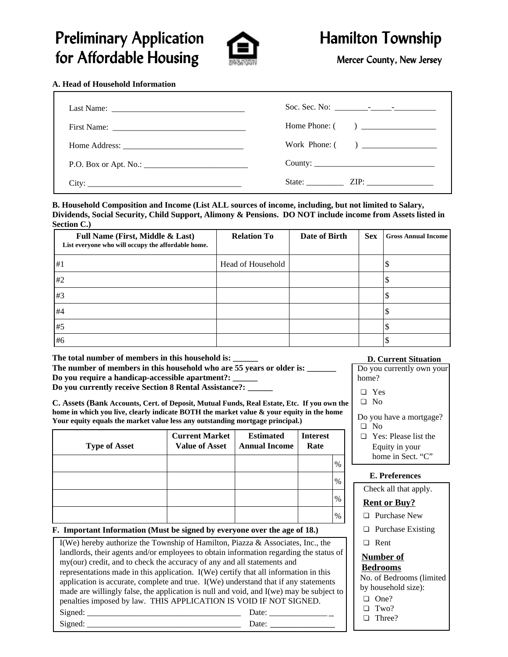## Preliminary Application **Algebra 2 State Hamilton Township** for Affordable Housing The Mercer County, New Jersey



### **A. Head of Household Information**

| Last Name: $\frac{1}{\sqrt{1-\frac{1}{2}} \cdot \frac{1}{2}}$ |               |
|---------------------------------------------------------------|---------------|
|                                                               |               |
|                                                               |               |
|                                                               |               |
| City:                                                         | State: $ZIP:$ |

**B. Household Composition and Income (List ALL sources of income, including, but not limited to Salary, Dividends, Social Security, Child Support, Alimony & Pensions. DO NOT include income from Assets listed in Section C.)**

| Full Name (First, Middle & Last)<br>List everyone who will occupy the affordable home. | <b>Relation To</b> | Date of Birth | <b>Sex</b> | <b>Gross Annual Income</b> |
|----------------------------------------------------------------------------------------|--------------------|---------------|------------|----------------------------|
| #1                                                                                     | Head of Household  |               |            |                            |
| #2                                                                                     |                    |               |            |                            |
| #3                                                                                     |                    |               |            |                            |
| #4                                                                                     |                    |               |            |                            |
| #5                                                                                     |                    |               |            |                            |
| #6                                                                                     |                    |               |            |                            |

**The total number of members in this household is: \_\_\_\_\_\_** The number of members in this household who are 55 years or older is: **Do you require a handicap-accessible apartment?: \_\_\_\_\_\_**

**Do you currently receive Section 8 Rental Assistance?:** 

**C. Assets (Bank Accounts, Cert. of Deposit, Mutual Funds, Real Estate, Etc. If you own the home in which you live, clearly indicate BOTH the market value & your equity in the home Your equity equals the market value less any outstanding mortgage principal.)**

| <b>Type of Asset</b> | <b>Current Market</b><br><b>Value of Asset</b> | <b>Estimated</b><br><b>Annual Income</b> | <b>Interest</b><br>Rate |               |
|----------------------|------------------------------------------------|------------------------------------------|-------------------------|---------------|
|                      |                                                |                                          |                         | $\%$          |
|                      |                                                |                                          |                         | $\frac{0}{0}$ |
|                      |                                                |                                          |                         | $\%$          |
|                      |                                                |                                          |                         | $\%$          |

**F. Important Information (Must be signed by everyone over the age of 18.)**

| I(We) hereby authorize the Township of Hamilton, Piazza & Associates, Inc., the         |  |  |  |  |
|-----------------------------------------------------------------------------------------|--|--|--|--|
| landlords, their agents and/or employees to obtain information regarding the status of  |  |  |  |  |
| my(our) credit, and to check the accuracy of any and all statements and                 |  |  |  |  |
| representations made in this application. I(We) certify that all information in this    |  |  |  |  |
| application is accurate, complete and true. I(We) understand that if any statements     |  |  |  |  |
| made are willingly false, the application is null and void, and I(we) may be subject to |  |  |  |  |
| penalties imposed by law. THIS APPLICATION IS VOID IF NOT SIGNED.                       |  |  |  |  |
| Signed:<br>Date:                                                                        |  |  |  |  |
| Signed:<br>Date:                                                                        |  |  |  |  |

### **D. Current Situation**

Do you currently own your home? " Yes

 $\Box$  No

Do you have a mortgage?

- $\Box$  No
- $\Box$  Yes: Please list the Equity in your home in Sect. "C"

### **E. Preferences**

Check all that apply.

### **Rent or Buy?**

- $\hfill\Box$  Purchase New
- $\Box$  Purchase Existing
- □ Rent

### **Number of Bedrooms**

No. of Bedrooms (limited by household size):

- $\Box$  One?
- $\Box$  Two?
- $\Box$  Three?